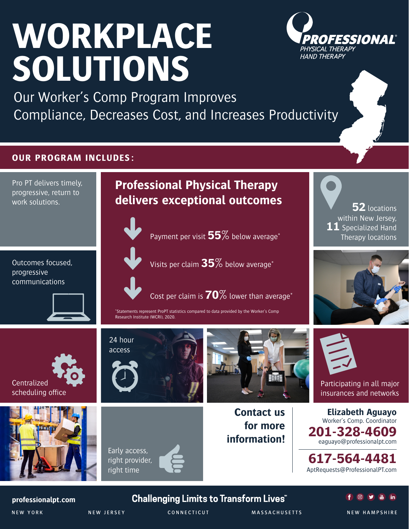# **WORKPLACE SOLUTIONS**



Our Worker's Comp Program Improves Compliance, Decreases Cost, and Increases Productivity

## **OUR PROGRAM INCLUDES:**



Early access, right provider, right time







Participating in all major insurances and networks

**Elizabeth Aguayo** Worker's Comp. Coordinator **201-328-4609** eaguayo@professionalpt.com

**617-564-4481** [AptRequests@ProfessionalPT.com](mailto:AptRequests%40ProfessionalPT.com?subject=)



## **Challenging Limits to Transform Lives**



NEW YORK NEW JERSEY CONNECTICUT MASSACHUSETTS NEW HAMPSHIRE

**information!**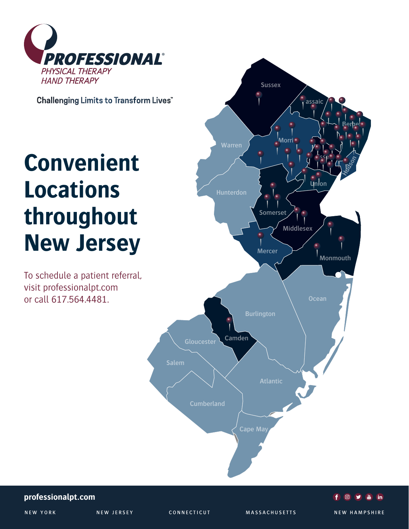

**Challenging Limits to Transform Lives** 

## **Convenient Locations throughout New Jersey**

To schedule a patient referral, visit professionalpt.com or call 617.564.4481.



## **professionalpt.com**

NEW YORK NEW JERSEY CONNECTICUT MASSACHUSETTS NEW HAMPSHIRE

NEW YORK NEW JERSEY CONNECTICUT MASSACHUSETTS NEW HAMPSHIRE

a in

**O** 

 $\mathbf{f}$